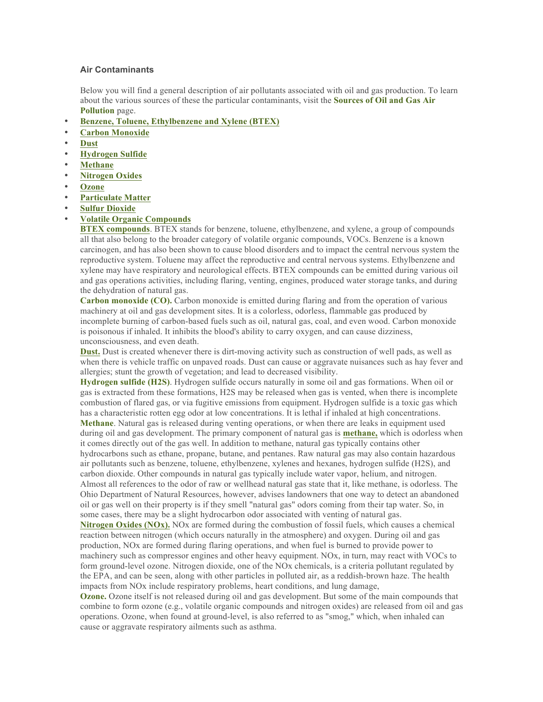## **Air Contaminants**

Below you will find a general description of air pollutants associated with oil and gas production. To learn about the various sources of these the particular contaminants, visit the **Sources of Oil and Gas Air Pollution** page.

- **Benzene, Toluene, Ethylbenzene and Xylene (BTEX)**
- **Carbon Monoxide**
- **Dust**
- **Hydrogen Sulfide**
- **Methane**
- **Nitrogen Oxides**
- **Ozone**
- **Particulate Matter**
- **Sulfur Dioxide**
- **Volatile Organic Compounds**

**BTEX compounds**. BTEX stands for benzene, toluene, ethylbenzene, and xylene, a group of compounds all that also belong to the broader category of volatile organic compounds, VOCs. Benzene is a known carcinogen, and has also been shown to cause blood disorders and to impact the central nervous system the reproductive system. Toluene may affect the reproductive and central nervous systems. Ethylbenzene and xylene may have respiratory and neurological effects. BTEX compounds can be emitted during various oil and gas operations activities, including flaring, venting, engines, produced water storage tanks, and during the dehydration of natural gas.

**Carbon monoxide (CO).** Carbon monoxide is emitted during flaring and from the operation of various machinery at oil and gas development sites. It is a colorless, odorless, flammable gas produced by incomplete burning of carbon-based fuels such as oil, natural gas, coal, and even wood. Carbon monoxide is poisonous if inhaled. It inhibits the blood's ability to carry oxygen, and can cause dizziness, unconsciousness, and even death.

**Dust.** Dust is created whenever there is dirt-moving activity such as construction of well pads, as well as when there is vehicle traffic on unpaved roads. Dust can cause or aggravate nuisances such as hay fever and allergies; stunt the growth of vegetation; and lead to decreased visibility.

**Hydrogen sulfide (H2S)**. Hydrogen sulfide occurs naturally in some oil and gas formations. When oil or gas is extracted from these formations, H2S may be released when gas is vented, when there is incomplete combustion of flared gas, or via fugitive emissions from equipment. Hydrogen sulfide is a toxic gas which has a characteristic rotten egg odor at low concentrations. It is lethal if inhaled at high concentrations.

**Methane**. Natural gas is released during venting operations, or when there are leaks in equipment used during oil and gas development. The primary component of natural gas is **methane,** which is odorless when it comes directly out of the gas well. In addition to methane, natural gas typically contains other hydrocarbons such as ethane, propane, butane, and pentanes. Raw natural gas may also contain hazardous air pollutants such as benzene, toluene, ethylbenzene, xylenes and hexanes, hydrogen sulfide (H2S), and carbon dioxide. Other compounds in natural gas typically include water vapor, helium, and nitrogen. Almost all references to the odor of raw or wellhead natural gas state that it, like methane, is odorless. The Ohio Department of Natural Resources, however, advises landowners that one way to detect an abandoned oil or gas well on their property is if they smell "natural gas" odors coming from their tap water. So, in some cases, there may be a slight hydrocarbon odor associated with venting of natural gas.

**Nitrogen Oxides (NOx).** NOx are formed during the combustion of fossil fuels, which causes a chemical reaction between nitrogen (which occurs naturally in the atmosphere) and oxygen. During oil and gas production, NOx are formed during flaring operations, and when fuel is burned to provide power to machinery such as compressor engines and other heavy equipment. NOx, in turn, may react with VOCs to form ground-level ozone. Nitrogen dioxide, one of the NOx chemicals, is a criteria pollutant regulated by the EPA, and can be seen, along with other particles in polluted air, as a reddish-brown haze. The health impacts from NOx include respiratory problems, heart conditions, and lung damage,

**Ozone.** Ozone itself is not released during oil and gas development. But some of the main compounds that combine to form ozone (e.g., volatile organic compounds and nitrogen oxides) are released from oil and gas operations. Ozone, when found at ground-level, is also referred to as "smog," which, when inhaled can cause or aggravate respiratory ailments such as asthma.